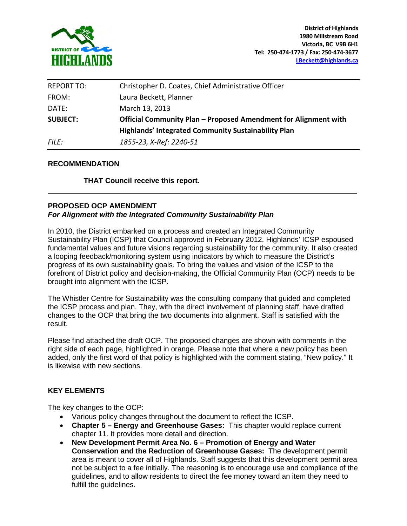

| <b>REPORT TO:</b> | Christopher D. Coates, Chief Administrative Officer             |
|-------------------|-----------------------------------------------------------------|
| FROM:             | Laura Beckett, Planner                                          |
| DATE:             | March 13, 2013                                                  |
| <b>SUBJECT:</b>   | Official Community Plan - Proposed Amendment for Alignment with |
|                   | <b>Highlands' Integrated Community Sustainability Plan</b>      |
| <i>FILE:</i>      | 1855-23, X-Ref: 2240-51                                         |

### **RECOMMENDATION**

**THAT Council receive this report.** 

## **PROPOSED OCP AMENDMENT**  *For Alignment with the Integrated Community Sustainability Plan*

In 2010, the District embarked on a process and created an Integrated Community Sustainability Plan (ICSP) that Council approved in February 2012. Highlands' ICSP espoused fundamental values and future visions regarding sustainability for the community. It also created a looping feedback/monitoring system using indicators by which to measure the District's progress of its own sustainability goals. To bring the values and vision of the ICSP to the forefront of District policy and decision-making, the Official Community Plan (OCP) needs to be brought into alignment with the ICSP.

The Whistler Centre for Sustainability was the consulting company that guided and completed the ICSP process and plan. They, with the direct involvement of planning staff, have drafted changes to the OCP that bring the two documents into alignment. Staff is satisfied with the result.

Please find attached the draft OCP. The proposed changes are shown with comments in the right side of each page, highlighted in orange. Please note that where a new policy has been added, only the first word of that policy is highlighted with the comment stating, "New policy." It is likewise with new sections.

## **KEY ELEMENTS**

The key changes to the OCP:

- Various policy changes throughout the document to reflect the ICSP.
- **Chapter 5 Energy and Greenhouse Gases:** This chapter would replace current chapter 11. It provides more detail and direction.
- **New Development Permit Area No. 6 Promotion of Energy and Water Conservation and the Reduction of Greenhouse Gases:** The development permit area is meant to cover all of Highlands. Staff suggests that this development permit area not be subject to a fee initially. The reasoning is to encourage use and compliance of the guidelines, and to allow residents to direct the fee money toward an item they need to fulfill the guidelines.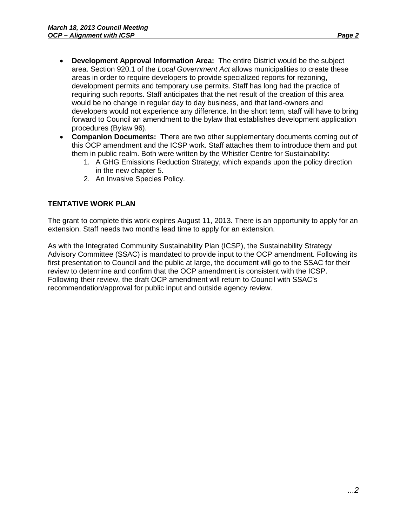- **Development Approval Information Area:** The entire District would be the subject area. Section 920.1 of the *Local Government Act* allows municipalities to create these areas in order to require developers to provide specialized reports for rezoning, development permits and temporary use permits. Staff has long had the practice of requiring such reports. Staff anticipates that the net result of the creation of this area would be no change in regular day to day business, and that land-owners and developers would not experience any difference. In the short term, staff will have to bring forward to Council an amendment to the bylaw that establishes development application procedures (Bylaw 96).
- **Companion Documents:** There are two other supplementary documents coming out of this OCP amendment and the ICSP work. Staff attaches them to introduce them and put them in public realm. Both were written by the Whistler Centre for Sustainability:
	- 1. A GHG Emissions Reduction Strategy, which expands upon the policy direction in the new chapter 5.
	- 2. An Invasive Species Policy.

# **TENTATIVE WORK PLAN**

The grant to complete this work expires August 11, 2013. There is an opportunity to apply for an extension. Staff needs two months lead time to apply for an extension.

As with the Integrated Community Sustainability Plan (ICSP), the Sustainability Strategy Advisory Committee (SSAC) is mandated to provide input to the OCP amendment. Following its first presentation to Council and the public at large, the document will go to the SSAC for their review to determine and confirm that the OCP amendment is consistent with the ICSP. Following their review, the draft OCP amendment will return to Council with SSAC's recommendation/approval for public input and outside agency review.